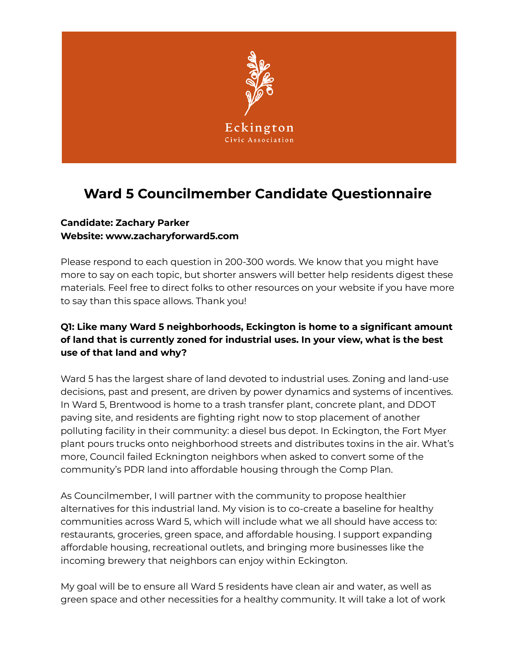

# **Ward 5 Councilmember Candidate Questionnaire**

# **Candidate: Zachary Parker Website: www.zacharyforward5.com**

Please respond to each question in 200-300 words. We know that you might have more to say on each topic, but shorter answers will better help residents digest these materials. Feel free to direct folks to other resources on your website if you have more to say than this space allows. Thank you!

# **Q1: Like many Ward 5 neighborhoods, Eckington is home to a significant amount of land that is currently zoned for industrial uses. In your view, what is the best use of that land and why?**

Ward 5 has the largest share of land devoted to industrial uses. Zoning and land-use decisions, past and present, are driven by power dynamics and systems of incentives. In Ward 5, Brentwood is home to a trash transfer plant, concrete plant, and DDOT paving site, and residents are fighting right now to stop placement of another polluting facility in their community: a diesel bus depot. In Eckington, the Fort Myer plant pours trucks onto neighborhood streets and distributes toxins in the air. What's more, Council failed Ecknington neighbors when asked to convert some of the community's PDR land into affordable housing through the Comp Plan.

As Councilmember, I will partner with the community to propose healthier alternatives for this industrial land. My vision is to co-create a baseline for healthy communities across Ward 5, which will include what we all should have access to: restaurants, groceries, green space, and affordable housing. I support expanding affordable housing, recreational outlets, and bringing more businesses like the incoming brewery that neighbors can enjoy within Eckington.

My goal will be to ensure all Ward 5 residents have clean air and water, as well as green space and other necessities for a healthy community. It will take a lot of work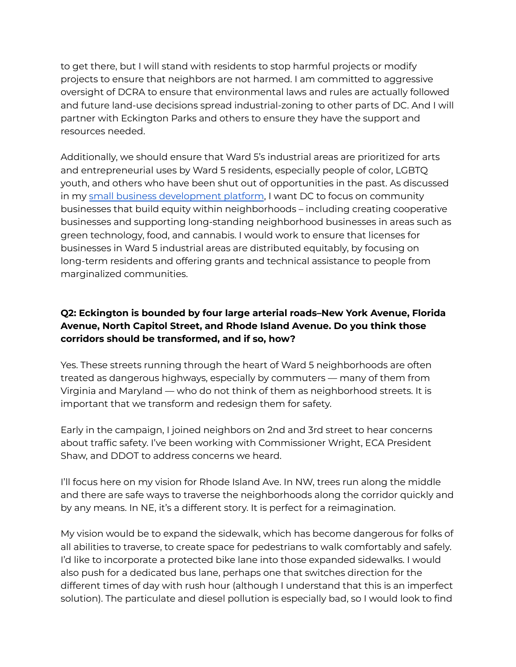to get there, but I will stand with residents to stop harmful projects or modify projects to ensure that neighbors are not harmed. I am committed to aggressive oversight of DCRA to ensure that environmental laws and rules are actually followed and future land-use decisions spread industrial-zoning to other parts of DC. And I will partner with Eckington Parks and others to ensure they have the support and resources needed.

Additionally, we should ensure that Ward 5's industrial areas are prioritized for arts and entrepreneurial uses by Ward 5 residents, especially people of color, LGBTQ youth, and others who have been shut out of opportunities in the past. As discussed in my small business [development](https://www.zacharyforward5.com/post/zachary-announces-his-cooperatives-community-wealth-and-small-business-development-platform) platform, I want DC to focus on community businesses that build equity within neighborhoods – including creating cooperative businesses and supporting long-standing neighborhood businesses in areas such as green technology, food, and cannabis. I would work to ensure that licenses for businesses in Ward 5 industrial areas are distributed equitably, by focusing on long-term residents and offering grants and technical assistance to people from marginalized communities.

#### **Q2: Eckington is bounded by four large arterial roads–New York Avenue, Florida Avenue, North Capitol Street, and Rhode Island Avenue. Do you think those corridors should be transformed, and if so, how?**

Yes. These streets running through the heart of Ward 5 neighborhoods are often treated as dangerous highways, especially by commuters — many of them from Virginia and Maryland — who do not think of them as neighborhood streets. It is important that we transform and redesign them for safety.

Early in the campaign, I joined neighbors on 2nd and 3rd street to hear concerns about traffic safety. I've been working with Commissioner Wright, ECA President Shaw, and DDOT to address concerns we heard.

I'll focus here on my vision for Rhode Island Ave. In NW, trees run along the middle and there are safe ways to traverse the neighborhoods along the corridor quickly and by any means. In NE, it's a different story. It is perfect for a reimagination.

My vision would be to expand the sidewalk, which has become dangerous for folks of all abilities to traverse, to create space for pedestrians to walk comfortably and safely. I'd like to incorporate a protected bike lane into those expanded sidewalks. I would also push for a dedicated bus lane, perhaps one that switches direction for the different times of day with rush hour (although I understand that this is an imperfect solution). The particulate and diesel pollution is especially bad, so I would look to find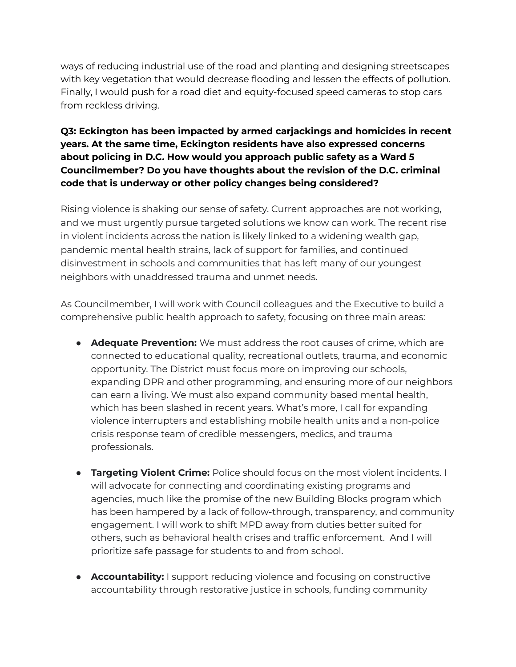ways of reducing industrial use of the road and planting and designing streetscapes with key vegetation that would decrease flooding and lessen the effects of pollution. Finally, I would push for a road diet and equity-focused speed cameras to stop cars from reckless driving.

#### **Q3: Eckington has been impacted by armed carjackings and homicides in recent years. At the same time, Eckington residents have also expressed concerns about policing in D.C. How would you approach public safety as a Ward 5 Councilmember? Do you have thoughts about the revision of the D.C. criminal code that is underway or other policy changes being considered?**

Rising violence is shaking our sense of safety. Current approaches are not working, and we must urgently pursue targeted solutions we know can work. The recent rise in violent incidents across the nation is likely linked to a widening wealth gap, pandemic mental health strains, lack of support for families, and continued disinvestment in schools and communities that has left many of our youngest neighbors with unaddressed trauma and unmet needs.

As Councilmember, I will work with Council colleagues and the Executive to build a comprehensive public health approach to safety, focusing on three main areas:

- **Adequate Prevention:** We must address the root causes of crime, which are connected to educational quality, recreational outlets, trauma, and economic opportunity. The District must focus more on improving our schools, expanding DPR and other programming, and ensuring more of our neighbors can earn a living. We must also expand community based mental health, which has been slashed in recent years. What's more, I call for expanding violence interrupters and establishing mobile health units and a non-police crisis response team of credible messengers, medics, and trauma professionals.
- **Targeting Violent Crime:** Police should focus on the most violent incidents. I will advocate for connecting and coordinating existing programs and agencies, much like the promise of the new Building Blocks program which has been hampered by a lack of follow-through, transparency, and community engagement. I will work to shift MPD away from duties better suited for others, such as behavioral health crises and traffic enforcement. And I will prioritize safe passage for students to and from school.
- **Accountability:** I support reducing violence and focusing on constructive accountability through restorative justice in schools, funding community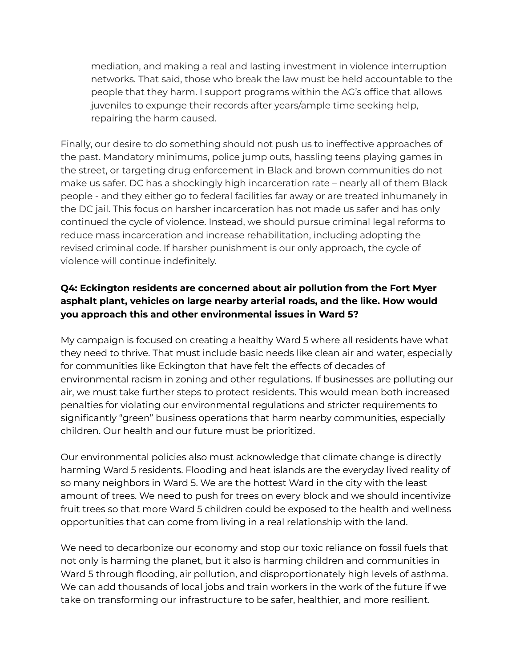mediation, and making a real and lasting investment in violence interruption networks. That said, those who break the law must be held accountable to the people that they harm. I support programs within the AG's office that allows juveniles to expunge their records after years/ample time seeking help, repairing the harm caused.

Finally, our desire to do something should not push us to ineffective approaches of the past. Mandatory minimums, police jump outs, hassling teens playing games in the street, or targeting drug enforcement in Black and brown communities do not make us safer. DC has a shockingly high incarceration rate – nearly all of them Black people - and they either go to federal facilities far away or are treated inhumanely in the DC jail. This focus on harsher incarceration has not made us safer and has only continued the cycle of violence. Instead, we should pursue criminal legal reforms to reduce mass incarceration and increase rehabilitation, including adopting the revised criminal code. If harsher punishment is our only approach, the cycle of violence will continue indefinitely.

#### **Q4: Eckington residents are concerned about air pollution from the Fort Myer asphalt plant, vehicles on large nearby arterial roads, and the like. How would you approach this and other environmental issues in Ward 5?**

My campaign is focused on creating a healthy Ward 5 where all residents have what they need to thrive. That must include basic needs like clean air and water, especially for communities like Eckington that have felt the effects of decades of environmental racism in zoning and other regulations. If businesses are polluting our air, we must take further steps to protect residents. This would mean both increased penalties for violating our environmental regulations and stricter requirements to significantly "green" business operations that harm nearby communities, especially children. Our health and our future must be prioritized.

Our environmental policies also must acknowledge that climate change is directly harming Ward 5 residents. Flooding and heat islands are the everyday lived reality of so many neighbors in Ward 5. We are the hottest Ward in the city with the least amount of trees. We need to push for trees on every block and we should incentivize fruit trees so that more Ward 5 children could be exposed to the health and wellness opportunities that can come from living in a real relationship with the land.

We need to decarbonize our economy and stop our toxic reliance on fossil fuels that not only is harming the planet, but it also is harming children and communities in Ward 5 through flooding, air pollution, and disproportionately high levels of asthma. We can add thousands of local jobs and train workers in the work of the future if we take on transforming our infrastructure to be safer, healthier, and more resilient.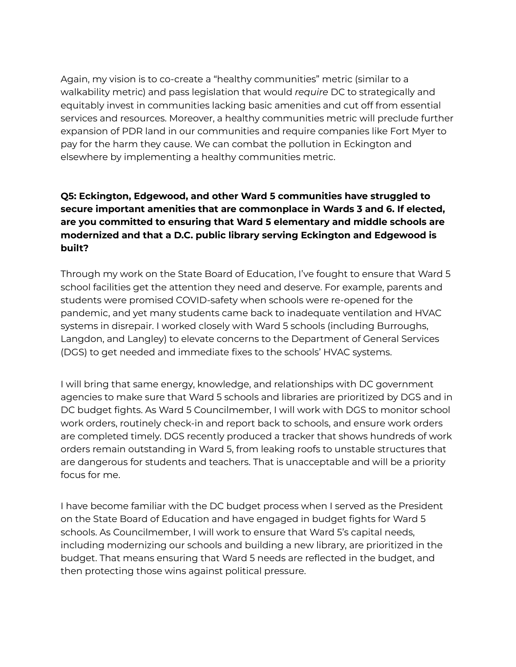Again, my vision is to co-create a "healthy communities" metric (similar to a walkability metric) and pass legislation that would *require* DC to strategically and equitably invest in communities lacking basic amenities and cut off from essential services and resources. Moreover, a healthy communities metric will preclude further expansion of PDR land in our communities and require companies like Fort Myer to pay for the harm they cause. We can combat the pollution in Eckington and elsewhere by implementing a healthy communities metric.

## **Q5: Eckington, Edgewood, and other Ward 5 communities have struggled to secure important amenities that are commonplace in Wards 3 and 6. If elected, are you committed to ensuring that Ward 5 elementary and middle schools are modernized and that a D.C. public library serving Eckington and Edgewood is built?**

Through my work on the State Board of Education, I've fought to ensure that Ward 5 school facilities get the attention they need and deserve. For example, parents and students were promised COVID-safety when schools were re-opened for the pandemic, and yet many students came back to inadequate ventilation and HVAC systems in disrepair. I worked closely with Ward 5 schools (including Burroughs, Langdon, and Langley) to elevate concerns to the Department of General Services (DGS) to get needed and immediate fixes to the schools' HVAC systems.

I will bring that same energy, knowledge, and relationships with DC government agencies to make sure that Ward 5 schools and libraries are prioritized by DGS and in DC budget fights. As Ward 5 Councilmember, I will work with DGS to monitor school work orders, routinely check-in and report back to schools, and ensure work orders are completed timely. DGS recently produced a tracker that shows hundreds of work orders remain outstanding in Ward 5, from leaking roofs to unstable structures that are dangerous for students and teachers. That is unacceptable and will be a priority focus for me.

I have become familiar with the DC budget process when I served as the President on the State Board of Education and have engaged in budget fights for Ward 5 schools. As Councilmember, I will work to ensure that Ward 5's capital needs, including modernizing our schools and building a new library, are prioritized in the budget. That means ensuring that Ward 5 needs are reflected in the budget, and then protecting those wins against political pressure.